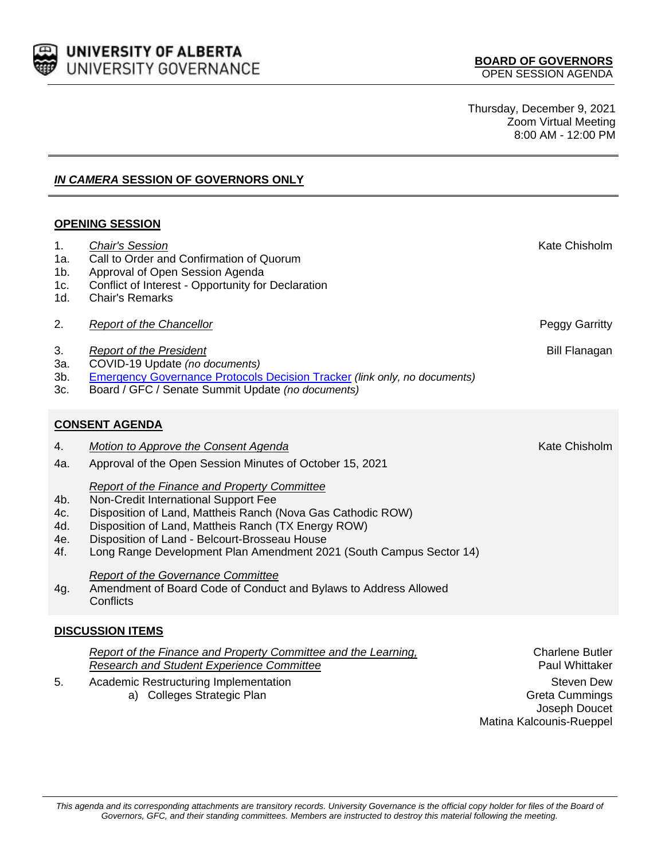

Thursday, December 9, 2021 Zoom Virtual Meeting 8:00 AM - 12:00 PM

## *IN CAMERA* **SESSION OF GOVERNORS ONLY**

## **OPENING SESSION**

| 1.<br>1a.<br>1 <sub>b</sub><br>1c.<br>1d. | <b>Chair's Session</b><br>Call to Order and Confirmation of Quorum<br>Approval of Open Session Agenda<br>Conflict of Interest - Opportunity for Declaration<br><b>Chair's Remarks</b>                                                                                                                                                     | Kate Chisholm                                                                                                                       |  |  |  |
|-------------------------------------------|-------------------------------------------------------------------------------------------------------------------------------------------------------------------------------------------------------------------------------------------------------------------------------------------------------------------------------------------|-------------------------------------------------------------------------------------------------------------------------------------|--|--|--|
| 2.                                        | <b>Report of the Chancellor</b>                                                                                                                                                                                                                                                                                                           | Peggy Garritty                                                                                                                      |  |  |  |
| 3.<br>3a.<br>3b.<br>3c.                   | <b>Report of the President</b><br>COVID-19 Update (no documents)<br><b>Emergency Governance Protocols Decision Tracker (link only, no documents)</b><br>Board / GFC / Senate Summit Update (no documents)                                                                                                                                 | <b>Bill Flanagan</b>                                                                                                                |  |  |  |
|                                           | <b>CONSENT AGENDA</b>                                                                                                                                                                                                                                                                                                                     |                                                                                                                                     |  |  |  |
| 4.<br>4a.                                 | Motion to Approve the Consent Agenda<br>Approval of the Open Session Minutes of October 15, 2021                                                                                                                                                                                                                                          | Kate Chisholm                                                                                                                       |  |  |  |
| 4b.<br>4c.<br>4d.<br>4e.<br>4f.           | <b>Report of the Finance and Property Committee</b><br>Non-Credit International Support Fee<br>Disposition of Land, Mattheis Ranch (Nova Gas Cathodic ROW)<br>Disposition of Land, Mattheis Ranch (TX Energy ROW)<br>Disposition of Land - Belcourt-Brosseau House<br>Long Range Development Plan Amendment 2021 (South Campus Sector 14) |                                                                                                                                     |  |  |  |
| 4g.                                       | <b>Report of the Governance Committee</b><br>Amendment of Board Code of Conduct and Bylaws to Address Allowed<br>Conflicts                                                                                                                                                                                                                |                                                                                                                                     |  |  |  |
| <b>DISCUSSION ITEMS</b>                   |                                                                                                                                                                                                                                                                                                                                           |                                                                                                                                     |  |  |  |
| 5.                                        | Report of the Finance and Property Committee and the Learning,<br><b>Research and Student Experience Committee</b><br>Academic Restructuring Implementation<br>a) Colleges Strategic Plan                                                                                                                                                 | <b>Charlene Butler</b><br><b>Paul Whittaker</b><br><b>Steven Dew</b><br>Greta Cummings<br>Joseph Doucet<br>Matina Kalcounis-Rueppel |  |  |  |